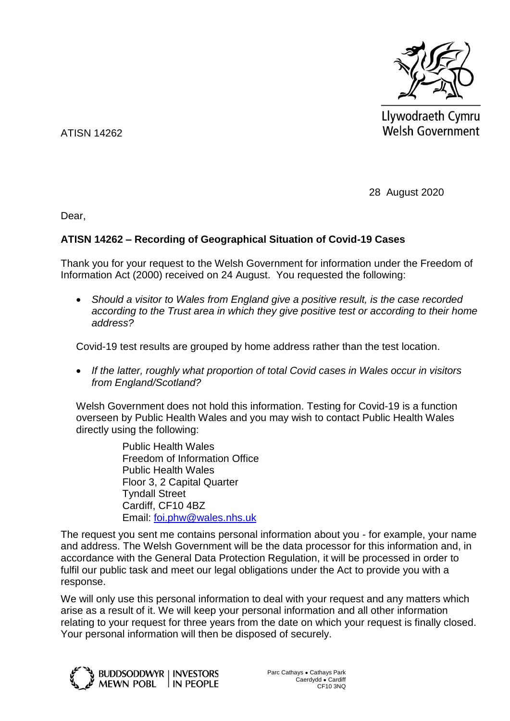

Llywodraeth Cymru **Welsh Government** 

ATISN 14262

28 August 2020

Dear,

## **ATISN 14262 – Recording of Geographical Situation of Covid-19 Cases**

Thank you for your request to the Welsh Government for information under the Freedom of Information Act (2000) received on 24 August. You requested the following:

 *Should a visitor to Wales from England give a positive result, is the case recorded according to the Trust area in which they give positive test or according to their home address?*

Covid-19 test results are grouped by home address rather than the test location.

 *If the latter, roughly what proportion of total Covid cases in Wales occur in visitors from England/Scotland?*

Welsh Government does not hold this information. Testing for Covid-19 is a function overseen by Public Health Wales and you may wish to contact Public Health Wales directly using the following:

> Public Health Wales Freedom of Information Office Public Health Wales Floor 3, 2 Capital Quarter Tyndall Street Cardiff, CF10 4BZ Email: [foi.phw@wales.nhs.uk](mailto:foi.phw@wales.nhs.uk)

The request you sent me contains personal information about you - for example, your name and address. The Welsh Government will be the data processor for this information and, in accordance with the General Data Protection Regulation, it will be processed in order to fulfil our public task and meet our legal obligations under the Act to provide you with a response.

We will only use this personal information to deal with your request and any matters which arise as a result of it. We will keep your personal information and all other information relating to your request for three years from the date on which your request is finally closed. Your personal information will then be disposed of securely.